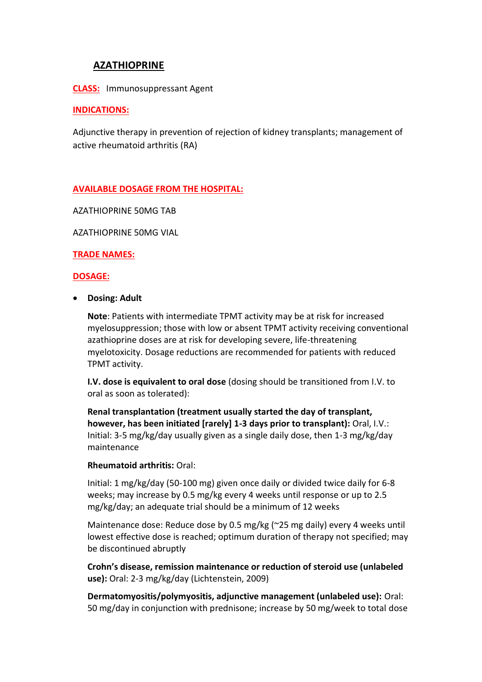# **AZATHIOPRINE**

**CLASS:** Immunosuppressant Agent

### **INDICATIONS:**

Adjunctive therapy in prevention of rejection of kidney transplants; management of active rheumatoid arthritis (RA)

# **AVAILABLE DOSAGE FROM THE HOSPITAL:**

AZATHIOPRINE 50MG TAB

AZATHIOPRINE 50MG VIAL

#### **TRADE NAMES:**

#### **DOSAGE:**

**Dosing: Adult**

**Note**: Patients with intermediate TPMT activity may be at risk for increased myelosuppression; those with low or absent TPMT activity receiving conventional azathioprine doses are at risk for developing severe, life-threatening myelotoxicity. Dosage reductions are recommended for patients with reduced TPMT activity.

**I.V. dose is equivalent to oral dose** (dosing should be transitioned from I.V. to oral as soon as tolerated):

**Renal transplantation (treatment usually started the day of transplant, however, has been initiated [rarely] 1-3 days prior to transplant):** Oral, I.V.: Initial: 3-5 mg/kg/day usually given as a single daily dose, then 1-3 mg/kg/day maintenance

# **Rheumatoid arthritis:** Oral:

Initial: 1 mg/kg/day (50-100 mg) given once daily or divided twice daily for 6-8 weeks; may increase by 0.5 mg/kg every 4 weeks until response or up to 2.5 mg/kg/day; an adequate trial should be a minimum of 12 weeks

Maintenance dose: Reduce dose by 0.5 mg/kg (~25 mg daily) every 4 weeks until lowest effective dose is reached; optimum duration of therapy not specified; may be discontinued abruptly

**Crohn's disease, remission maintenance or reduction of steroid use (unlabeled use):** Oral: 2-3 mg/kg/day (Lichtenstein, 2009)

**Dermatomyositis/polymyositis, adjunctive management (unlabeled use):** Oral: 50 mg/day in conjunction with prednisone; increase by 50 mg/week to total dose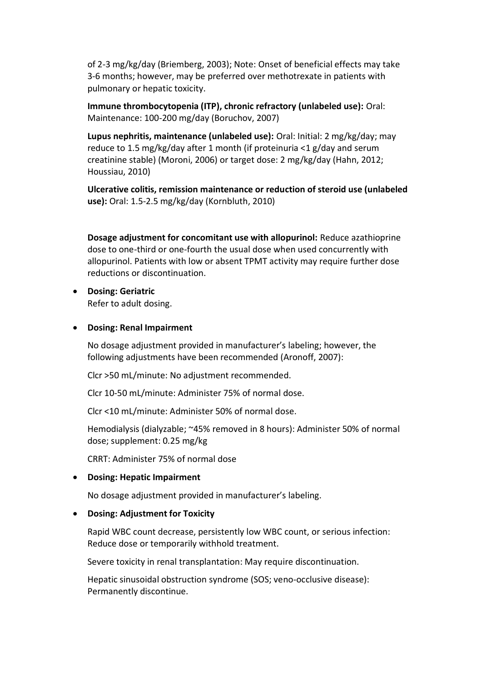of 2-3 mg/kg/day (Briemberg, 2003); Note: Onset of beneficial effects may take 3-6 months; however, may be preferred over methotrexate in patients with pulmonary or hepatic toxicity.

**Immune thrombocytopenia (ITP), chronic refractory (unlabeled use):** Oral: Maintenance: 100-200 mg/day (Boruchov, 2007)

**Lupus nephritis, maintenance (unlabeled use):** Oral: Initial: 2 mg/kg/day; may reduce to 1.5 mg/kg/day after 1 month (if proteinuria <1 g/day and serum creatinine stable) (Moroni, 2006) or target dose: 2 mg/kg/day (Hahn, 2012; Houssiau, 2010)

**Ulcerative colitis, remission maintenance or reduction of steroid use (unlabeled use):** Oral: 1.5-2.5 mg/kg/day (Kornbluth, 2010)

**Dosage adjustment for concomitant use with allopurinol:** Reduce azathioprine dose to one-third or one-fourth the usual dose when used concurrently with allopurinol. Patients with low or absent TPMT activity may require further dose reductions or discontinuation.

 **Dosing: Geriatric** Refer to adult dosing.

# **Dosing: Renal Impairment**

No dosage adjustment provided in manufacturer's labeling; however, the following adjustments have been recommended (Aronoff, 2007):

Clcr >50 mL/minute: No adjustment recommended.

Clcr 10-50 mL/minute: Administer 75% of normal dose.

Clcr <10 mL/minute: Administer 50% of normal dose.

Hemodialysis (dialyzable; ~45% removed in 8 hours): Administer 50% of normal dose; supplement: 0.25 mg/kg

CRRT: Administer 75% of normal dose

# **Dosing: Hepatic Impairment**

No dosage adjustment provided in manufacturer's labeling.

# **Dosing: Adjustment for Toxicity**

Rapid WBC count decrease, persistently low WBC count, or serious infection: Reduce dose or temporarily withhold treatment.

Severe toxicity in renal transplantation: May require discontinuation.

Hepatic sinusoidal obstruction syndrome (SOS; veno-occlusive disease): Permanently discontinue.